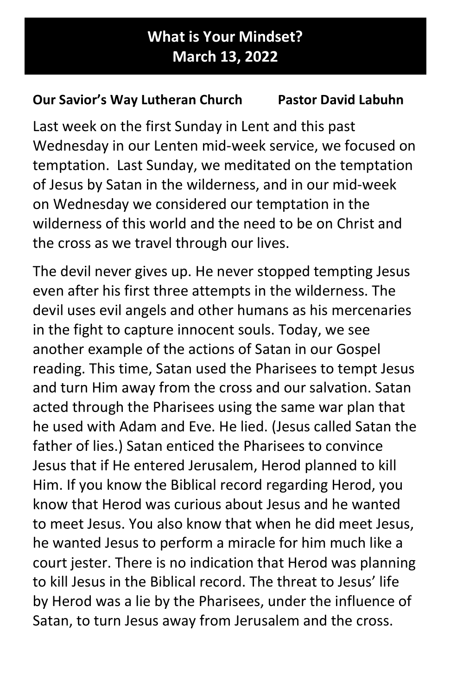## What is Your Mindset? March 13, 2022

## Our Savior's Way Lutheran Church Pastor David Labuhn

Last week on the first Sunday in Lent and this past Wednesday in our Lenten mid-week service, we focused on temptation. Last Sunday, we meditated on the temptation of Jesus by Satan in the wilderness, and in our mid-week on Wednesday we considered our temptation in the wilderness of this world and the need to be on Christ and the cross as we travel through our lives.

The devil never gives up. He never stopped tempting Jesus even after his first three attempts in the wilderness. The devil uses evil angels and other humans as his mercenaries in the fight to capture innocent souls. Today, we see another example of the actions of Satan in our Gospel reading. This time, Satan used the Pharisees to tempt Jesus and turn Him away from the cross and our salvation. Satan acted through the Pharisees using the same war plan that he used with Adam and Eve. He lied. (Jesus called Satan the father of lies.) Satan enticed the Pharisees to convince Jesus that if He entered Jerusalem, Herod planned to kill Him. If you know the Biblical record regarding Herod, you know that Herod was curious about Jesus and he wanted to meet Jesus. You also know that when he did meet Jesus, he wanted Jesus to perform a miracle for him much like a court jester. There is no indication that Herod was planning to kill Jesus in the Biblical record. The threat to Jesus' life by Herod was a lie by the Pharisees, under the influence of Satan, to turn Jesus away from Jerusalem and the cross.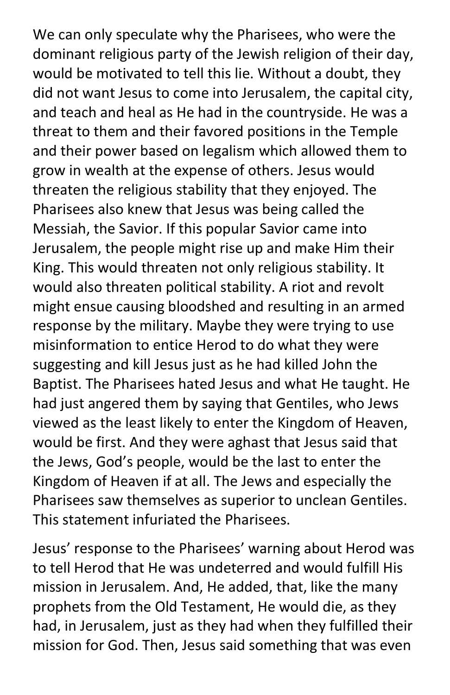We can only speculate why the Pharisees, who were the dominant religious party of the Jewish religion of their day, would be motivated to tell this lie. Without a doubt, they did not want Jesus to come into Jerusalem, the capital city, and teach and heal as He had in the countryside. He was a threat to them and their favored positions in the Temple and their power based on legalism which allowed them to grow in wealth at the expense of others. Jesus would threaten the religious stability that they enjoyed. The Pharisees also knew that Jesus was being called the Messiah, the Savior. If this popular Savior came into Jerusalem, the people might rise up and make Him their King. This would threaten not only religious stability. It would also threaten political stability. A riot and revolt might ensue causing bloodshed and resulting in an armed response by the military. Maybe they were trying to use misinformation to entice Herod to do what they were suggesting and kill Jesus just as he had killed John the Baptist. The Pharisees hated Jesus and what He taught. He had just angered them by saying that Gentiles, who Jews viewed as the least likely to enter the Kingdom of Heaven, would be first. And they were aghast that Jesus said that the Jews, God's people, would be the last to enter the Kingdom of Heaven if at all. The Jews and especially the Pharisees saw themselves as superior to unclean Gentiles. This statement infuriated the Pharisees.

Jesus' response to the Pharisees' warning about Herod was to tell Herod that He was undeterred and would fulfill His mission in Jerusalem. And, He added, that, like the many prophets from the Old Testament, He would die, as they had, in Jerusalem, just as they had when they fulfilled their mission for God. Then, Jesus said something that was even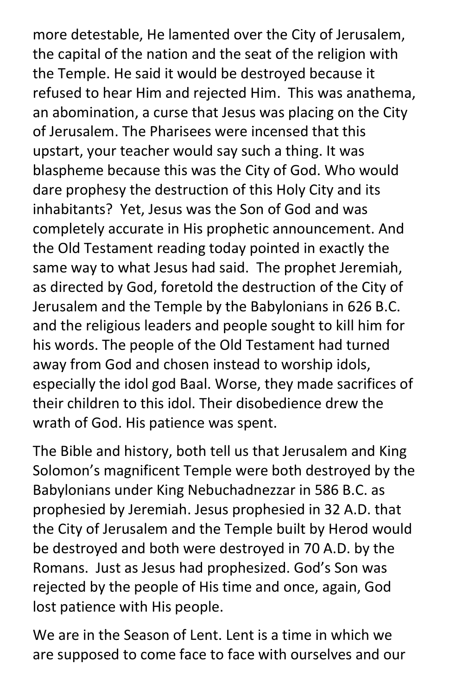more detestable, He lamented over the City of Jerusalem, the capital of the nation and the seat of the religion with the Temple. He said it would be destroyed because it refused to hear Him and rejected Him. This was anathema, an abomination, a curse that Jesus was placing on the City of Jerusalem. The Pharisees were incensed that this upstart, your teacher would say such a thing. It was blaspheme because this was the City of God. Who would dare prophesy the destruction of this Holy City and its inhabitants? Yet, Jesus was the Son of God and was completely accurate in His prophetic announcement. And the Old Testament reading today pointed in exactly the same way to what Jesus had said. The prophet Jeremiah, as directed by God, foretold the destruction of the City of Jerusalem and the Temple by the Babylonians in 626 B.C. and the religious leaders and people sought to kill him for his words. The people of the Old Testament had turned away from God and chosen instead to worship idols, especially the idol god Baal. Worse, they made sacrifices of their children to this idol. Their disobedience drew the wrath of God. His patience was spent.

The Bible and history, both tell us that Jerusalem and King Solomon's magnificent Temple were both destroyed by the Babylonians under King Nebuchadnezzar in 586 B.C. as prophesied by Jeremiah. Jesus prophesied in 32 A.D. that the City of Jerusalem and the Temple built by Herod would be destroyed and both were destroyed in 70 A.D. by the Romans. Just as Jesus had prophesized. God's Son was rejected by the people of His time and once, again, God lost patience with His people.

We are in the Season of Lent. Lent is a time in which we are supposed to come face to face with ourselves and our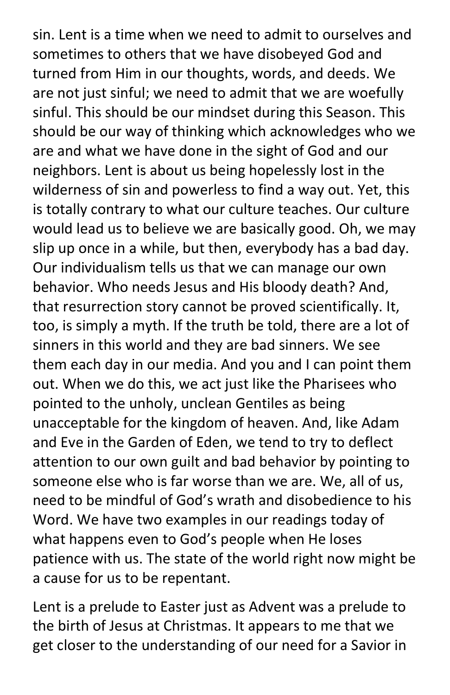sin. Lent is a time when we need to admit to ourselves and sometimes to others that we have disobeyed God and turned from Him in our thoughts, words, and deeds. We are not just sinful; we need to admit that we are woefully sinful. This should be our mindset during this Season. This should be our way of thinking which acknowledges who we are and what we have done in the sight of God and our neighbors. Lent is about us being hopelessly lost in the wilderness of sin and powerless to find a way out. Yet, this is totally contrary to what our culture teaches. Our culture would lead us to believe we are basically good. Oh, we may slip up once in a while, but then, everybody has a bad day. Our individualism tells us that we can manage our own behavior. Who needs Jesus and His bloody death? And, that resurrection story cannot be proved scientifically. It, too, is simply a myth. If the truth be told, there are a lot of sinners in this world and they are bad sinners. We see them each day in our media. And you and I can point them out. When we do this, we act just like the Pharisees who pointed to the unholy, unclean Gentiles as being unacceptable for the kingdom of heaven. And, like Adam and Eve in the Garden of Eden, we tend to try to deflect attention to our own guilt and bad behavior by pointing to someone else who is far worse than we are. We, all of us, need to be mindful of God's wrath and disobedience to his Word. We have two examples in our readings today of what happens even to God's people when He loses patience with us. The state of the world right now might be a cause for us to be repentant.

Lent is a prelude to Easter just as Advent was a prelude to the birth of Jesus at Christmas. It appears to me that we get closer to the understanding of our need for a Savior in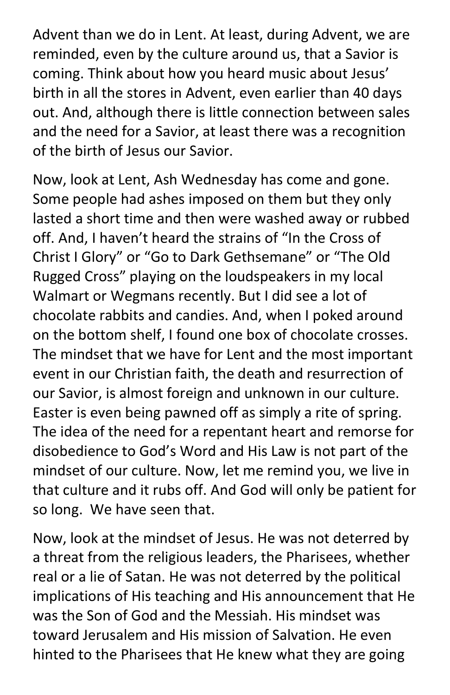Advent than we do in Lent. At least, during Advent, we are reminded, even by the culture around us, that a Savior is coming. Think about how you heard music about Jesus' birth in all the stores in Advent, even earlier than 40 days out. And, although there is little connection between sales and the need for a Savior, at least there was a recognition of the birth of Jesus our Savior.

Now, look at Lent, Ash Wednesday has come and gone. Some people had ashes imposed on them but they only lasted a short time and then were washed away or rubbed off. And, I haven't heard the strains of "In the Cross of Christ I Glory" or "Go to Dark Gethsemane" or "The Old Rugged Cross" playing on the loudspeakers in my local Walmart or Wegmans recently. But I did see a lot of chocolate rabbits and candies. And, when I poked around on the bottom shelf, I found one box of chocolate crosses. The mindset that we have for Lent and the most important event in our Christian faith, the death and resurrection of our Savior, is almost foreign and unknown in our culture. Easter is even being pawned off as simply a rite of spring. The idea of the need for a repentant heart and remorse for disobedience to God's Word and His Law is not part of the mindset of our culture. Now, let me remind you, we live in that culture and it rubs off. And God will only be patient for so long. We have seen that.

Now, look at the mindset of Jesus. He was not deterred by a threat from the religious leaders, the Pharisees, whether real or a lie of Satan. He was not deterred by the political implications of His teaching and His announcement that He was the Son of God and the Messiah. His mindset was toward Jerusalem and His mission of Salvation. He even hinted to the Pharisees that He knew what they are going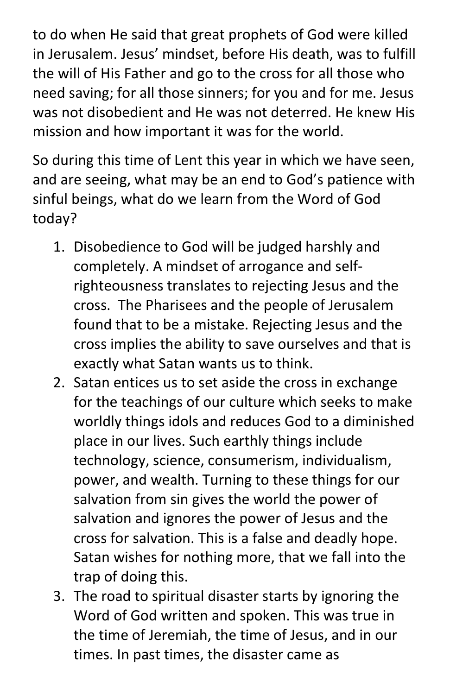to do when He said that great prophets of God were killed in Jerusalem. Jesus' mindset, before His death, was to fulfill the will of His Father and go to the cross for all those who need saving; for all those sinners; for you and for me. Jesus was not disobedient and He was not deterred. He knew His mission and how important it was for the world.

So during this time of Lent this year in which we have seen, and are seeing, what may be an end to God's patience with sinful beings, what do we learn from the Word of God today?

- 1. Disobedience to God will be judged harshly and completely. A mindset of arrogance and selfrighteousness translates to rejecting Jesus and the cross. The Pharisees and the people of Jerusalem found that to be a mistake. Rejecting Jesus and the cross implies the ability to save ourselves and that is exactly what Satan wants us to think.
- 2. Satan entices us to set aside the cross in exchange for the teachings of our culture which seeks to make worldly things idols and reduces God to a diminished place in our lives. Such earthly things include technology, science, consumerism, individualism, power, and wealth. Turning to these things for our salvation from sin gives the world the power of salvation and ignores the power of Jesus and the cross for salvation. This is a false and deadly hope. Satan wishes for nothing more, that we fall into the trap of doing this.
- 3. The road to spiritual disaster starts by ignoring the Word of God written and spoken. This was true in the time of Jeremiah, the time of Jesus, and in our times. In past times, the disaster came as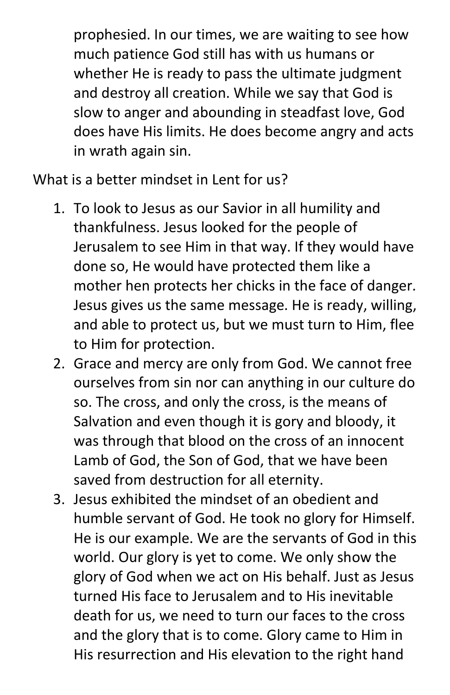prophesied. In our times, we are waiting to see how much patience God still has with us humans or whether He is ready to pass the ultimate judgment and destroy all creation. While we say that God is slow to anger and abounding in steadfast love, God does have His limits. He does become angry and acts in wrath again sin.

What is a better mindset in Lent for us?

- 1. To look to Jesus as our Savior in all humility and thankfulness. Jesus looked for the people of Jerusalem to see Him in that way. If they would have done so, He would have protected them like a mother hen protects her chicks in the face of danger. Jesus gives us the same message. He is ready, willing, and able to protect us, but we must turn to Him, flee to Him for protection.
- 2. Grace and mercy are only from God. We cannot free ourselves from sin nor can anything in our culture do so. The cross, and only the cross, is the means of Salvation and even though it is gory and bloody, it was through that blood on the cross of an innocent Lamb of God, the Son of God, that we have been saved from destruction for all eternity.
- 3. Jesus exhibited the mindset of an obedient and humble servant of God. He took no glory for Himself. He is our example. We are the servants of God in this world. Our glory is yet to come. We only show the glory of God when we act on His behalf. Just as Jesus turned His face to Jerusalem and to His inevitable death for us, we need to turn our faces to the cross and the glory that is to come. Glory came to Him in His resurrection and His elevation to the right hand